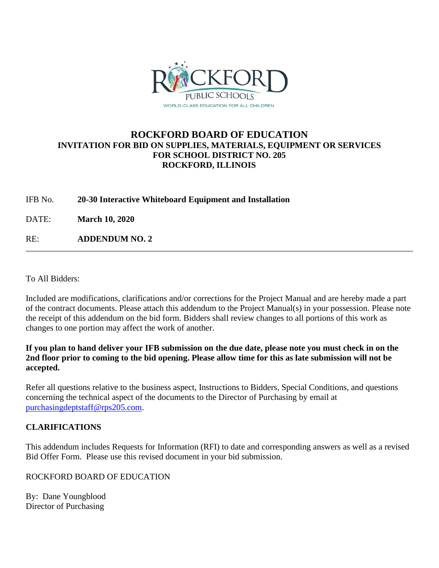

## **ROCKFORD BOARD OF EDUCATION INVITATION FOR BID ON SUPPLIES, MATERIALS, EQUIPMENT OR SERVICES FOR SCHOOL DISTRICT NO. 205 ROCKFORD, ILLINOIS**

IFB No. **20-30 Interactive Whiteboard Equipment and Installation**

DATE: **March 10, 2020**

RE: **ADDENDUM NO. 2**

To All Bidders:

Included are modifications, clarifications and/or corrections for the Project Manual and are hereby made a part of the contract documents. Please attach this addendum to the Project Manual(s) in your possession. Please note the receipt of this addendum on the bid form. Bidders shall review changes to all portions of this work as changes to one portion may affect the work of another.

**If you plan to hand deliver your IFB submission on the due date, please note you must check in on the 2nd floor prior to coming to the bid opening. Please allow time for this as late submission will not be accepted.**

Refer all questions relative to the business aspect, Instructions to Bidders, Special Conditions, and questions concerning the technical aspect of the documents to the Director of Purchasing by email at [purchasingdeptstaff@rps205.com.](mailto:purchasingdeptstaff@rps205.com)

## **CLARIFICATIONS**

This addendum includes Requests for Information (RFI) to date and corresponding answers as well as a revised Bid Offer Form. Please use this revised document in your bid submission.

ROCKFORD BOARD OF EDUCATION

By: Dane Youngblood Director of Purchasing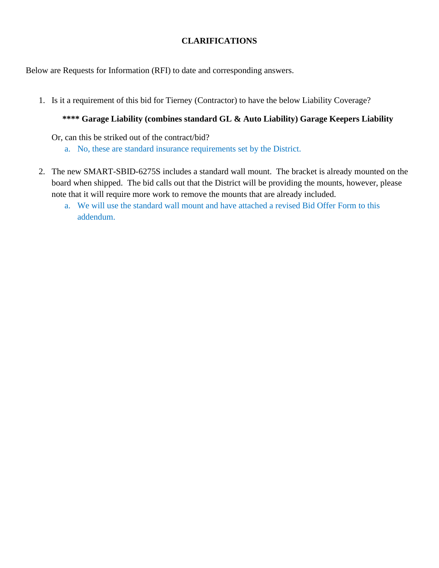## **CLARIFICATIONS**

Below are Requests for Information (RFI) to date and corresponding answers.

1. Is it a requirement of this bid for Tierney (Contractor) to have the below Liability Coverage?

# **\*\*\*\* Garage Liability (combines standard GL & Auto Liability) Garage Keepers Liability**

Or, can this be striked out of the contract/bid?

- a. No, these are standard insurance requirements set by the District.
- 2. The new SMART-SBID-6275S includes a standard wall mount. The bracket is already mounted on the board when shipped. The bid calls out that the District will be providing the mounts, however, please note that it will require more work to remove the mounts that are already included.
	- a. We will use the standard wall mount and have attached a revised Bid Offer Form to this addendum.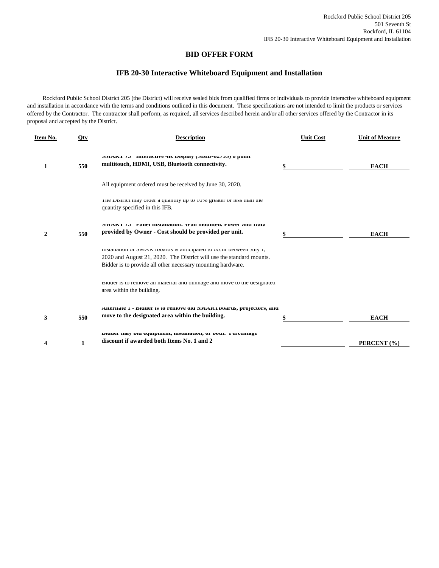### **BID OFFER FORM**

### **IFB 20-30 Interactive Whiteboard Equipment and Installation**

 Rockford Public School District 205 (the District) will receive sealed bids from qualified firms or individuals to provide interactive whiteboard equipment and installation in accordance with the terms and conditions outlined in this document. These specifications are not intended to limit the products or services offered by the Contractor. The contractor shall perform, as required, all services described herein and/or all other services offered by the Contractor in its proposal and accepted by the District.

| Item No.     | Qty | <b>Description</b>                                                                                                                                                                                           | <b>Unit Cost</b> | <b>Unit of Measure</b> |
|--------------|-----|--------------------------------------------------------------------------------------------------------------------------------------------------------------------------------------------------------------|------------------|------------------------|
| $\mathbf{1}$ | 550 | MIAK1 /3 INTERCUVE 4N DISPRIY (MOID-04/20) 6 POINT<br>multitouch, HDMI, USB, Bluetooth connectivity.                                                                                                         |                  | <b>EACH</b>            |
|              |     | All equipment ordered must be received by June 30, 2020.                                                                                                                                                     |                  |                        |
|              |     | The District may order a quantity up to 10% greater or less than the<br>quantity specified in this IFB.                                                                                                      |                  |                        |
| $\mathbf{2}$ | 550 | <b>SIVENTAL 15 Fanel Histanation: Wan mounted, Fower and Data</b><br>provided by Owner - Cost should be provided per unit.                                                                                   |                  | <b>EACH</b>            |
|              |     | mistanation or SiviAR Fooards is anticipated to occur between Jury 1,<br>2020 and August 21, 2020. The District will use the standard mounts.<br>Bidder is to provide all other necessary mounting hardware. |                  |                        |
|              |     | Bluder is to remove all material and dumnage and move to the designated<br>area within the building.                                                                                                         |                  |                        |
| 3            | 550 | AIRCHIAR 1 - DRUCT IS 10 FEHRVE OR SIVIAR LODATUS, PFOJECIOFS, AHR<br>move to the designated area within the building.                                                                                       |                  | <b>EACH</b>            |
| 4            | 1   | вниег тау он еquipment, шмананоп, от оонь гетсентаде<br>discount if awarded both Items No. 1 and 2                                                                                                           |                  | PERCENT (%)            |